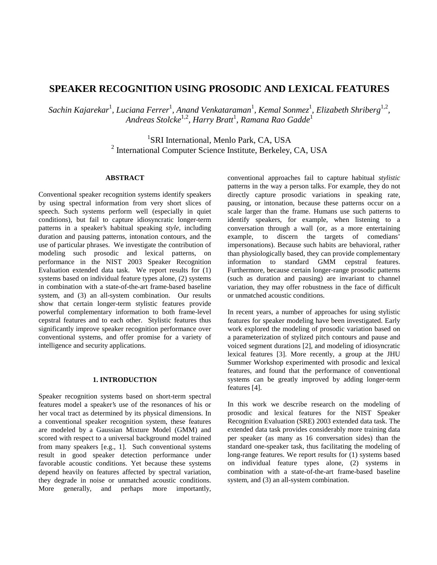# **SPEAKER RECOGNITION USING PROSODIC AND LEXICAL FEATURES**

Sachin Kajarekar<sup>1</sup>, Luciana Ferrer<sup>1</sup>, Anand Venkataraman<sup>1</sup>, Kemal Sonmez<sup>1</sup>, Elizabeth Shriberg<sup>1,2</sup>, *Andreas Stolcke*1,2*, Harry Bratt*<sup>1</sup> *, Ramana Rao Gadde*<sup>1</sup>

> <sup>1</sup>SRI International, Menlo Park, CA, USA <sup>2</sup> International Computer Science Institute, Berkeley, CA, USA

# **ABSTRACT**

Conventional speaker recognition systems identify speakers by using spectral information from very short slices of speech. Such systems perform well (especially in quiet conditions), but fail to capture idiosyncratic longer-term patterns in a speaker's habitual speaking *style*, including duration and pausing patterns, intonation contours, and the use of particular phrases. We investigate the contribution of modeling such prosodic and lexical patterns, on performance in the NIST 2003 Speaker Recognition Evaluation extended data task. We report results for (1) systems based on individual feature types alone, (2) systems in combination with a state-of-the-art frame-based baseline system, and (3) an all-system combination. Our results show that certain longer-term stylistic features provide powerful complementary information to both frame-level cepstral features and to each other. Stylistic features thus significantly improve speaker recognition performance over conventional systems, and offer promise for a variety of intelligence and security applications.

# **1. INTRODUCTION**

Speaker recognition systems based on short-term spectral features model a speaker's use of the resonances of his or her vocal tract as determined by its physical dimensions. In a conventional speaker recognition system, these features are modeled by a Gaussian Mixture Model (GMM) and scored with respect to a universal background model trained from many speakers [e.g., 1]. Such conventional systems result in good speaker detection performance under favorable acoustic conditions. Yet because these systems depend heavily on features affected by spectral variation, they degrade in noise or unmatched acoustic conditions. More generally, and perhaps more importantly, conventional approaches fail to capture habitual *stylistic* patterns in the way a person talks. For example, they do not directly capture prosodic variations in speaking rate, pausing, or intonation, because these patterns occur on a scale larger than the frame. Humans use such patterns to identify speakers, for example, when listening to a conversation through a wall (or, as a more entertaining example, to discern the targets of comedians' impersonations). Because such habits are behavioral, rather than physiologically based, they can provide complementary information to standard GMM cepstral features. Furthermore, because certain longer-range prosodic patterns (such as duration and pausing) are invariant to channel variation, they may offer robustness in the face of difficult or unmatched acoustic conditions.

In recent years, a number of approaches for using stylistic features for speaker modeling have been investigated. Early work explored the modeling of prosodic variation based on a parameterization of stylized pitch contours and pause and voiced segment durations [2], and modeling of idiosyncratic lexical features [3]. More recently, a group at the JHU Summer Workshop experimented with prosodic and lexical features, and found that the performance of conventional systems can be greatly improved by adding longer-term features [4].

In this work we describe research on the modeling of prosodic and lexical features for the NIST Speaker Recognition Evaluation (SRE) 2003 extended data task. The extended data task provides considerably more training data per speaker (as many as 16 conversation sides) than the standard one-speaker task, thus facilitating the modeling of long-range features. We report results for (1) systems based on individual feature types alone, (2) systems in combination with a state-of-the-art frame-based baseline system, and (3) an all-system combination.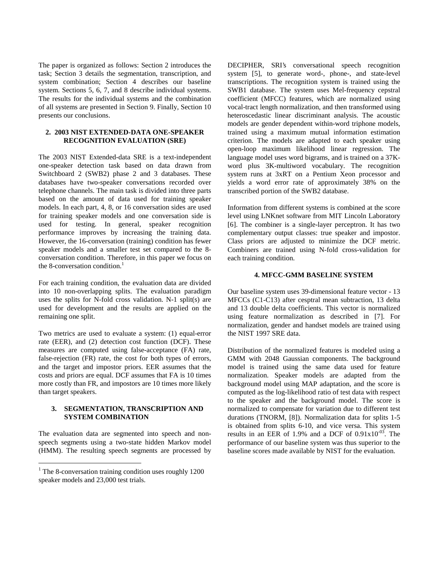The paper is organized as follows: Section 2 introduces the task; Section 3 details the segmentation, transcription, and system combination; Section 4 describes our baseline system. Sections 5, 6, 7, and 8 describe individual systems. The results for the individual systems and the combination of all systems are presented in Section 9. Finally, Section 10 presents our conclusions.

# **2. 2003 NIST EXTENDED-DATA ONE-SPEAKER RECOGNITION EVALUATION (SRE)**

The 2003 NIST Extended-data SRE is a text-independent one-speaker detection task based on data drawn from Switchboard 2 (SWB2) phase 2 and 3 databases. These databases have two-speaker conversations recorded over telephone channels. The main task is divided into three parts based on the amount of data used for training speaker models. In each part, 4, 8, or 16 conversation sides are used for training speaker models and one conversation side is used for testing. In general, speaker recognition performance improves by increasing the training data. However, the 16-conversation (training) condition has fewer speaker models and a smaller test set compared to the 8 conversation condition. Therefore, in this paper we focus on the 8-conversation condition. $<sup>1</sup>$ </sup>

For each training condition, the evaluation data are divided into 10 non-overlapping splits. The evaluation paradigm uses the splits for N-fold cross validation. N-1 split(s) are used for development and the results are applied on the remaining one split.

Two metrics are used to evaluate a system: (1) equal-error rate (EER), and (2) detection cost function (DCF). These measures are computed using false-acceptance (FA) rate, false-rejection (FR) rate, the cost for both types of errors, and the target and impostor priors. EER assumes that the costs and priors are equal. DCF assumes that FA is 10 times more costly than FR, and impostors are 10 times more likely than target speakers.

# **3. SEGMENTATION, TRANSCRIPTION AND SYSTEM COMBINATION**

The evaluation data are segmented into speech and nonspeech segments using a two-state hidden Markov model (HMM). The resulting speech segments are processed by

 $\overline{a}$ 

DECIPHER, SRI's conversational speech recognition system [5], to generate word-, phone-, and state-level transcriptions. The recognition system is trained using the SWB1 database. The system uses Mel-frequency cepstral coefficient (MFCC) features, which are normalized using vocal-tract length normalization, and then transformed using heteroscedastic linear discriminant analysis. The acoustic models are gender dependent within-word triphone models, trained using a maximum mutual information estimation criterion. The models are adapted to each speaker using open-loop maximum likelihood linear regression. The language model uses word bigrams, and is trained on a 37Kword plus 3K-multiword vocabulary. The recognition system runs at 3xRT on a Pentium Xeon processor and yields a word error rate of approximately 38% on the transcribed portion of the SWB2 database.

Information from different systems is combined at the score level using LNKnet software from MIT Lincoln Laboratory [6]. The combiner is a single-layer perceptron. It has two complementary output classes: true speaker and impostor. Class priors are adjusted to minimize the DCF metric. Combiners are trained using N-fold cross-validation for each training condition.

# **4. MFCC-GMM BASELINE SYSTEM**

Our baseline system uses 39-dimensional feature vector - 13 MFCCs (C1-C13) after cesptral mean subtraction, 13 delta and 13 double delta coefficients. This vector is normalized using feature normalization as described in [7]. For normalization, gender and handset models are trained using the NIST 1997 SRE data.

Distribution of the normalized features is modeled using a GMM with 2048 Gaussian components. The background model is trained using the same data used for feature normalization. Speaker models are adapted from the background model using MAP adaptation, and the score is computed as the log-likelihood ratio of test data with respect to the speaker and the background model. The score is normalized to compensate for variation due to different test durations (TNORM, [8]). Normalization data for splits 1-5 is obtained from splits 6-10, and vice versa. This system results in an EER of 1.9% and a DCF of  $0.91x10^{-03}$ . The performance of our baseline system was thus superior to the baseline scores made available by NIST for the evaluation.

<sup>&</sup>lt;sup>1</sup> The 8-conversation training condition uses roughly 1200 speaker models and 23,000 test trials.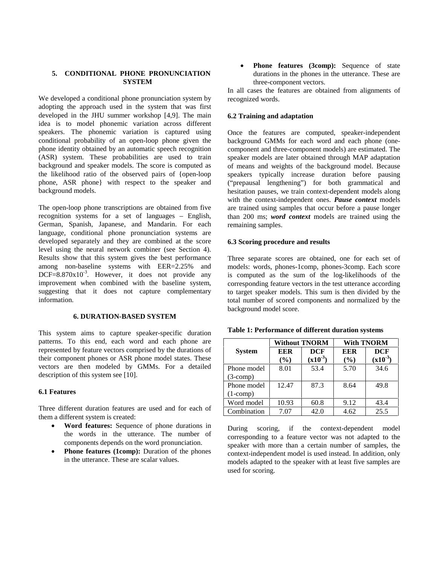# **5. CONDITIONAL PHONE PRONUNCIATION SYSTEM**

We developed a conditional phone pronunciation system by adopting the approach used in the system that was first developed in the JHU summer workshop [4,9]. The main idea is to model phonemic variation across different speakers. The phonemic variation is captured using conditional probability of an open-loop phone given the phone identity obtained by an automatic speech recognition (ASR) system. These probabilities are used to train background and speaker models. The score is computed as the likelihood ratio of the observed pairs of {open-loop phone, ASR phone} with respect to the speaker and background models.

The open-loop phone transcriptions are obtained from five recognition systems for a set of languages – English, German, Spanish, Japanese, and Mandarin. For each language, conditional phone pronunciation systems are developed separately and they are combined at the score level using the neural network combiner (see Section 4). Results show that this system gives the best performance among non-baseline systems with EER=2.25% and DCF= $8.870 \times 10^{-3}$ . However, it does not provide any improvement when combined with the baseline system, suggesting that it does not capture complementary information.

# **6. DURATION-BASED SYSTEM**

This system aims to capture speaker-specific duration patterns. To this end, each word and each phone are represented by feature vectors comprised by the durations of their component phones or ASR phone model states. These vectors are then modeled by GMMs. For a detailed description of this system see [10].

# **6.1 Features**

Three different duration features are used and for each of them a different system is created:

- x **Word features:** Sequence of phone durations in the words in the utterance. The number of components depends on the word pronunciation.
- **Phone features (1comp):** Duration of the phones in the utterance. These are scalar values.

• **Phone features (3comp):** Sequence of state durations in the phones in the utterance. These are three-component vectors.

In all cases the features are obtained from alignments of recognized words.

#### **6.2 Training and adaptation**

Once the features are computed, speaker-independent background GMMs for each word and each phone (onecomponent and three-component models) are estimated. The speaker models are later obtained through MAP adaptation of means and weights of the background model. Because speakers typically increase duration before pausing ("prepausal lengthening") for both grammatical and hesitation pauses, we train context-dependent models along with the context-independent ones. *Pause context* models are trained using samples that occur before a pause longer than 200 ms; *word context* models are trained using the remaining samples.

#### **6.3 Scoring procedure and results**

Three separate scores are obtained, one for each set of models: words, phones-1comp, phones-3comp. Each score is computed as the sum of the log-likelihoods of the corresponding feature vectors in the test utterance according to target speaker models. This sum is then divided by the total number of scored components and normalized by the background model score.

|               | <b>Without TNORM</b> |                            | <b>With TNORM</b> |                            |
|---------------|----------------------|----------------------------|-------------------|----------------------------|
| <b>System</b> | EER<br>$($ %)        | <b>DCF</b><br>$(x10^{-3})$ | EER<br>$($ %)     | <b>DCF</b><br>$(x10^{-3})$ |
| Phone model   | 8.01                 | 53.4                       | 5.70              | 34.6                       |
| $(3$ -comp)   |                      |                            |                   |                            |
| Phone model   | 12.47                | 87.3                       | 8.64              | 49.8                       |
| $(1$ -comp)   |                      |                            |                   |                            |
| Word model    | 10.93                | 60.8                       | 9.12              | 43.4                       |
| Combination   | 7.07                 | 42.0                       | 4.62              | 25.5                       |
|               |                      |                            |                   |                            |

**Table 1: Performance of different duration systems** 

During scoring, if the context-dependent model corresponding to a feature vector was not adapted to the speaker with more than a certain number of samples, the context-independent model is used instead. In addition, only models adapted to the speaker with at least five samples are used for scoring.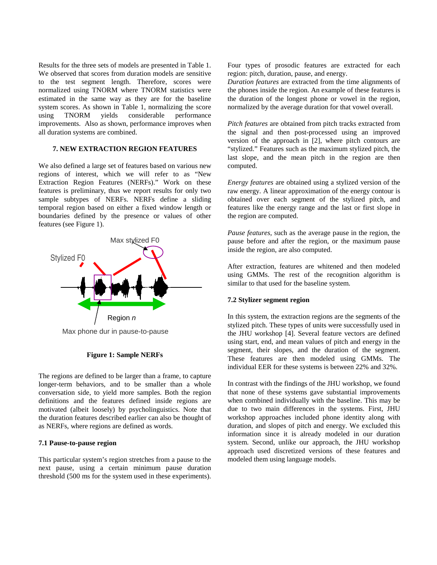Results for the three sets of models are presented in Table 1. We observed that scores from duration models are sensitive to the test segment length. Therefore, scores were normalized using TNORM where TNORM statistics were estimated in the same way as they are for the baseline system scores. As shown in Table 1, normalizing the score using TNORM yields considerable performance improvements. Also as shown, performance improves when all duration systems are combined.

# **7. NEW EXTRACTION REGION FEATURES**

We also defined a large set of features based on various new regions of interest, which we will refer to as "New Extraction Region Features (NERFs)." Work on these features is preliminary, thus we report results for only two sample subtypes of NERFs. NERFs define a sliding temporal region based on either a fixed window length or boundaries defined by the presence or values of other features (see Figure 1).



Max phone dur in pause-to-pause

# **Figure 1: Sample NERFs**

The regions are defined to be larger than a frame, to capture longer-term behaviors, and to be smaller than a whole conversation side, to yield more samples. Both the region definitions and the features defined inside regions are motivated (albeit loosely) by psycholinguistics. Note that the duration features described earlier can also be thought of as NERFs, where regions are defined as words.

# **7.1 Pause-to-pause region**

This particular system's region stretches from a pause to the next pause, using a certain minimum pause duration threshold (500 ms for the system used in these experiments). Four types of prosodic features are extracted for each region: pitch, duration, pause, and energy.

*Duration features* are extracted from the time alignments of the phones inside the region. An example of these features is the duration of the longest phone or vowel in the region, normalized by the average duration for that vowel overall.

*Pitch features* are obtained from pitch tracks extracted from the signal and then post-processed using an improved version of the approach in [2], where pitch contours are "stylized." Features such as the maximum stylized pitch, the last slope, and the mean pitch in the region are then computed.

*Energy features* are obtained using a stylized version of the raw energy. A linear approximation of the energy contour is obtained over each segment of the stylized pitch, and features like the energy range and the last or first slope in the region are computed.

*Pause features,* such as the average pause in the region, the pause before and after the region, or the maximum pause inside the region, are also computed.

After extraction, features are whitened and then modeled using GMMs. The rest of the recognition algorithm is similar to that used for the baseline system.

# **7.2 Stylizer segment region**

In this system, the extraction regions are the segments of the stylized pitch. These types of units were successfully used in the JHU workshop [4]. Several feature vectors are defined using start, end, and mean values of pitch and energy in the segment, their slopes, and the duration of the segment. These features are then modeled using GMMs. The individual EER for these systems is between 22% and 32%.

In contrast with the findings of the JHU workshop, we found that none of these systems gave substantial improvements when combined individually with the baseline. This may be due to two main differences in the systems. First, JHU workshop approaches included phone identity along with duration, and slopes of pitch and energy. We excluded this information since it is already modeled in our duration system. Second, unlike our approach, the JHU workshop approach used discretized versions of these features and modeled them using language models.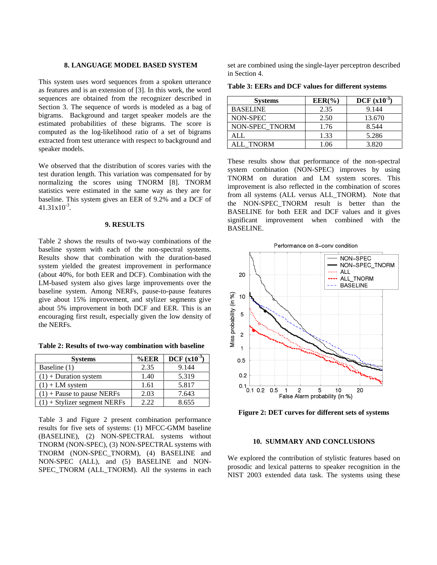# **8. LANGUAGE MODEL BASED SYSTEM**

This system uses word sequences from a spoken utterance as features and is an extension of [3]. In this work, the word sequences are obtained from the recognizer described in Section 3. The sequence of words is modeled as a bag of bigrams. Background and target speaker models are the estimated probabilities of these bigrams. The score is computed as the log-likelihood ratio of a set of bigrams extracted from test utterance with respect to background and speaker models.

We observed that the distribution of scores varies with the test duration length. This variation was compensated for by normalizing the scores using TNORM [8]. TNORM statistics were estimated in the same way as they are for baseline. This system gives an EER of 9.2% and a DCF of  $41.31x10^{-3}$ .

#### **9. RESULTS**

Table 2 shows the results of two-way combinations of the baseline system with each of the non-spectral systems. Results show that combination with the duration-based system yielded the greatest improvement in performance (about 40%, for both EER and DCF). Combination with the LM-based system also gives large improvements over the baseline system. Among NERFs, pause-to-pause features give about 15% improvement, and stylizer segments give about 5% improvement in both DCF and EER. This is an encouraging first result, especially given the low density of the NERFs.

**Table 2: Results of two-way combination with baseline** 

| <b>Systems</b>                 | $\%$ EER | <b>DCF</b> $(x10^{-3})$ |
|--------------------------------|----------|-------------------------|
| Baseline (1)                   | 2.35     | 9.144                   |
| $(1)$ + Duration system        | 1.40     | 5.319                   |
| $(1)$ + LM system              | 1.61     | 5.817                   |
| $(1)$ + Pause to pause NERFs   | 2.03     | 7.643                   |
| $(1)$ + Stylizer segment NERFs | 2.22     | 8.655                   |

Table 3 and Figure 2 present combination performance results for five sets of systems: (1) MFCC-GMM baseline (BASELINE), (2) NON-SPECTRAL systems without TNORM (NON-SPEC), (3) NON-SPECTRAL systems with TNORM (NON-SPEC\_TNORM), (4) BASELINE and NON-SPEC (ALL), and (5) BASELINE and NON-SPEC\_TNORM (ALL\_TNORM). All the systems in each set are combined using the single-layer perceptron described in Section 4.

**Table 3: EERs and DCF values for different systems** 

| <b>Systems</b>  | $EER(\%)$ | DCF $(x10^{-3})$ |
|-----------------|-----------|------------------|
| <b>BASELINE</b> | 2.35      | 9.144            |
| NON-SPEC        | 2.50      | 13.670           |
| NON-SPEC TNORM  | 1.76      | 8.544            |
| ALL.            | 1.33      | 5.286            |
| ALL TNORM       | 1.06      | 3.820            |

These results show that performance of the non-spectral system combination (NON-SPEC) improves by using TNORM on duration and LM system scores. This improvement is also reflected in the combination of scores from all systems (ALL versus ALL\_TNORM). Note that the NON-SPEC\_TNORM result is better than the BASELINE for both EER and DCF values and it gives significant improvement when combined with the BASELINE.





**Figure 2: DET curves for different sets of systems** 

#### **10. SUMMARY AND CONCLUSIONS**

We explored the contribution of stylistic features based on prosodic and lexical patterns to speaker recognition in the NIST 2003 extended data task. The systems using these